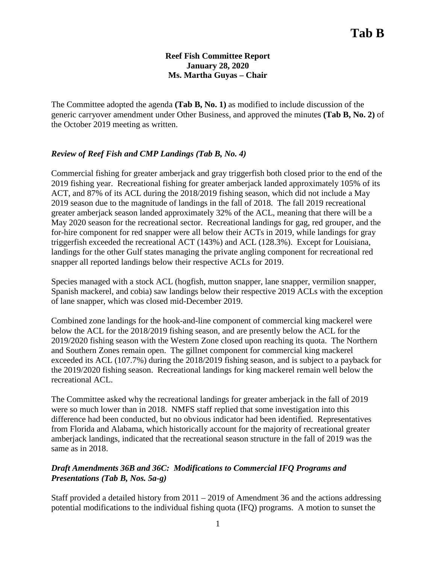### **Reef Fish Committee Report January 28, 2020 Ms. Martha Guyas – Chair**

The Committee adopted the agenda **(Tab B, No. 1)** as modified to include discussion of the generic carryover amendment under Other Business, and approved the minutes **(Tab B, No. 2)** of the October 2019 meeting as written.

## *Review of Reef Fish and CMP Landings (Tab B, No. 4)*

Commercial fishing for greater amberjack and gray triggerfish both closed prior to the end of the 2019 fishing year. Recreational fishing for greater amberjack landed approximately 105% of its ACT, and 87% of its ACL during the 2018/2019 fishing season, which did not include a May 2019 season due to the magnitude of landings in the fall of 2018. The fall 2019 recreational greater amberjack season landed approximately 32% of the ACL, meaning that there will be a May 2020 season for the recreational sector. Recreational landings for gag, red grouper, and the for-hire component for red snapper were all below their ACTs in 2019, while landings for gray triggerfish exceeded the recreational ACT (143%) and ACL (128.3%). Except for Louisiana, landings for the other Gulf states managing the private angling component for recreational red snapper all reported landings below their respective ACLs for 2019.

Species managed with a stock ACL (hogfish, mutton snapper, lane snapper, vermilion snapper, Spanish mackerel, and cobia) saw landings below their respective 2019 ACLs with the exception of lane snapper, which was closed mid-December 2019.

Combined zone landings for the hook-and-line component of commercial king mackerel were below the ACL for the 2018/2019 fishing season, and are presently below the ACL for the 2019/2020 fishing season with the Western Zone closed upon reaching its quota. The Northern and Southern Zones remain open. The gillnet component for commercial king mackerel exceeded its ACL (107.7%) during the 2018/2019 fishing season, and is subject to a payback for the 2019/2020 fishing season. Recreational landings for king mackerel remain well below the recreational ACL.

The Committee asked why the recreational landings for greater amberjack in the fall of 2019 were so much lower than in 2018. NMFS staff replied that some investigation into this difference had been conducted, but no obvious indicator had been identified. Representatives from Florida and Alabama, which historically account for the majority of recreational greater amberjack landings, indicated that the recreational season structure in the fall of 2019 was the same as in 2018.

## *Draft Amendments 36B and 36C: Modifications to Commercial IFQ Programs and Presentations (Tab B, Nos. 5a-g)*

Staff provided a detailed history from 2011 – 2019 of Amendment 36 and the actions addressing potential modifications to the individual fishing quota (IFQ) programs. A motion to sunset the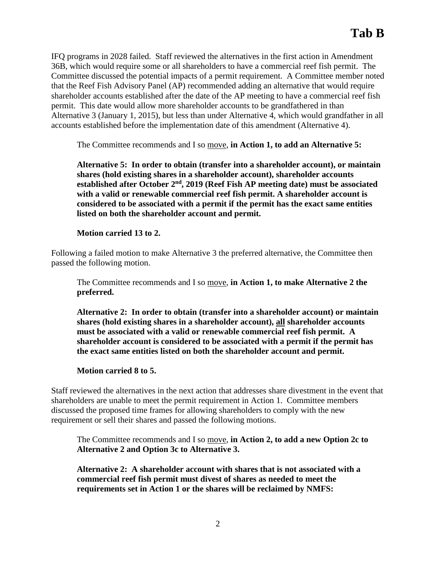IFQ programs in 2028 failed. Staff reviewed the alternatives in the first action in Amendment 36B, which would require some or all shareholders to have a commercial reef fish permit. The Committee discussed the potential impacts of a permit requirement. A Committee member noted that the Reef Fish Advisory Panel (AP) recommended adding an alternative that would require shareholder accounts established after the date of the AP meeting to have a commercial reef fish permit. This date would allow more shareholder accounts to be grandfathered in than Alternative 3 (January 1, 2015), but less than under Alternative 4, which would grandfather in all accounts established before the implementation date of this amendment (Alternative 4).

The Committee recommends and I so move, **in Action 1, to add an Alternative 5:** 

**Alternative 5: In order to obtain (transfer into a shareholder account), or maintain shares (hold existing shares in a shareholder account), shareholder accounts established after October 2nd, 2019 (Reef Fish AP meeting date) must be associated with a valid or renewable commercial reef fish permit. A shareholder account is considered to be associated with a permit if the permit has the exact same entities listed on both the shareholder account and permit.**

**Motion carried 13 to 2.** 

Following a failed motion to make Alternative 3 the preferred alternative, the Committee then passed the following motion.

The Committee recommends and I so move, **in Action 1, to make Alternative 2 the preferred.**

**Alternative 2: In order to obtain (transfer into a shareholder account) or maintain shares (hold existing shares in a shareholder account), all shareholder accounts must be associated with a valid or renewable commercial reef fish permit. A shareholder account is considered to be associated with a permit if the permit has the exact same entities listed on both the shareholder account and permit.**

## **Motion carried 8 to 5.**

Staff reviewed the alternatives in the next action that addresses share divestment in the event that shareholders are unable to meet the permit requirement in Action 1. Committee members discussed the proposed time frames for allowing shareholders to comply with the new requirement or sell their shares and passed the following motions.

The Committee recommends and I so move, **in Action 2, to add a new Option 2c to Alternative 2 and Option 3c to Alternative 3.** 

**Alternative 2: A shareholder account with shares that is not associated with a commercial reef fish permit must divest of shares as needed to meet the requirements set in Action 1 or the shares will be reclaimed by NMFS:**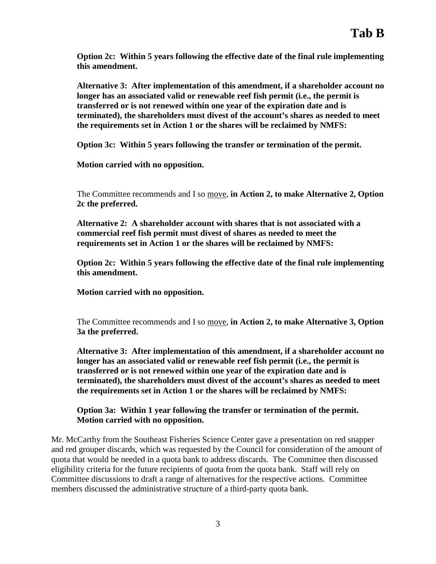**Option 2c: Within 5 years following the effective date of the final rule implementing this amendment.**

**Alternative 3: After implementation of this amendment, if a shareholder account no longer has an associated valid or renewable reef fish permit (i.e., the permit is transferred or is not renewed within one year of the expiration date and is terminated), the shareholders must divest of the account's shares as needed to meet the requirements set in Action 1 or the shares will be reclaimed by NMFS:**

**Option 3c: Within 5 years following the transfer or termination of the permit.**

**Motion carried with no opposition.** 

The Committee recommends and I so move, **in Action 2, to make Alternative 2, Option 2c the preferred.**

**Alternative 2: A shareholder account with shares that is not associated with a commercial reef fish permit must divest of shares as needed to meet the requirements set in Action 1 or the shares will be reclaimed by NMFS:**

**Option 2c: Within 5 years following the effective date of the final rule implementing this amendment.**

**Motion carried with no opposition.**

The Committee recommends and I so move, **in Action 2, to make Alternative 3, Option 3a the preferred.**

**Alternative 3: After implementation of this amendment, if a shareholder account no longer has an associated valid or renewable reef fish permit (i.e., the permit is transferred or is not renewed within one year of the expiration date and is terminated), the shareholders must divest of the account's shares as needed to meet the requirements set in Action 1 or the shares will be reclaimed by NMFS:**

**Option 3a: Within 1 year following the transfer or termination of the permit. Motion carried with no opposition.**

Mr. McCarthy from the Southeast Fisheries Science Center gave a presentation on red snapper and red grouper discards, which was requested by the Council for consideration of the amount of quota that would be needed in a quota bank to address discards. The Committee then discussed eligibility criteria for the future recipients of quota from the quota bank. Staff will rely on Committee discussions to draft a range of alternatives for the respective actions. Committee members discussed the administrative structure of a third-party quota bank.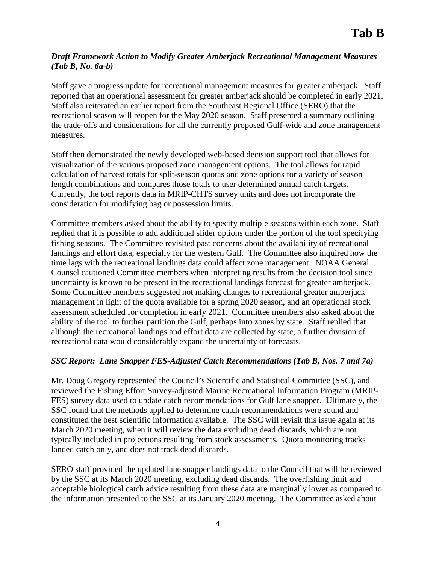## *Draft Framework Action to Modify Greater Amberjack Recreational Management Measures (Tab B, No. 6a-b)*

Staff gave a progress update for recreational management measures for greater amberjack. Staff reported that an operational assessment for greater amberjack should be completed in early 2021. Staff also reiterated an earlier report from the Southeast Regional Office (SERO) that the recreational season will reopen for the May 2020 season. Staff presented a summary outlining the trade-offs and considerations for all the currently proposed Gulf-wide and zone management measures.

Staff then demonstrated the newly developed web-based decision support tool that allows for visualization of the various proposed zone management options. The tool allows for rapid calculation of harvest totals for split-season quotas and zone options for a variety of season length combinations and compares those totals to user determined annual catch targets. Currently, the tool reports data in MRIP-CHTS survey units and does not incorporate the consideration for modifying bag or possession limits.

Committee members asked about the ability to specify multiple seasons within each zone. Staff replied that it is possible to add additional slider options under the portion of the tool specifying fishing seasons. The Committee revisited past concerns about the availability of recreational landings and effort data, especially for the western Gulf. The Committee also inquired how the time lags with the recreational landings data could affect zone management. NOAA General Counsel cautioned Committee members when interpreting results from the decision tool since uncertainty is known to be present in the recreational landings forecast for greater amberjack. Some Committee members suggested not making changes to recreational greater amberjack management in light of the quota available for a spring 2020 season, and an operational stock assessment scheduled for completion in early 2021. Committee members also asked about the ability of the tool to further partition the Gulf, perhaps into zones by state. Staff replied that although the recreational landings and effort data are collected by state, a further division of recreational data would considerably expand the uncertainty of forecasts.

## *SSC Report: Lane Snapper FES-Adjusted Catch Recommendations (Tab B, Nos. 7 and 7a)*

Mr. Doug Gregory represented the Council's Scientific and Statistical Committee (SSC), and reviewed the Fishing Effort Survey-adjusted Marine Recreational Information Program (MRIP-FES) survey data used to update catch recommendations for Gulf lane snapper. Ultimately, the SSC found that the methods applied to determine catch recommendations were sound and constituted the best scientific information available. The SSC will revisit this issue again at its March 2020 meeting, when it will review the data excluding dead discards, which are not typically included in projections resulting from stock assessments. Quota monitoring tracks landed catch only, and does not track dead discards.

SERO staff provided the updated lane snapper landings data to the Council that will be reviewed by the SSC at its March 2020 meeting, excluding dead discards. The overfishing limit and acceptable biological catch advice resulting from these data are marginally lower as compared to the information presented to the SSC at its January 2020 meeting. The Committee asked about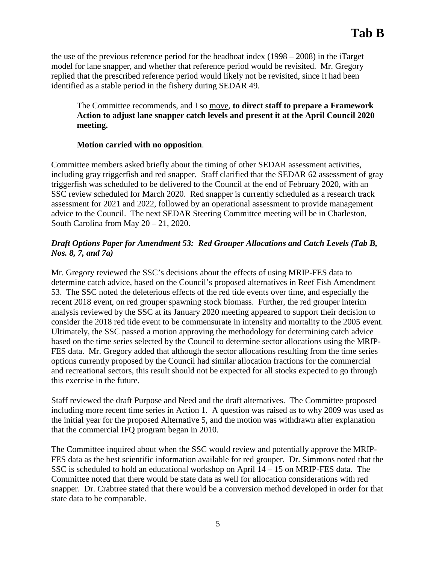the use of the previous reference period for the headboat index (1998 – 2008) in the iTarget model for lane snapper, and whether that reference period would be revisited. Mr. Gregory replied that the prescribed reference period would likely not be revisited, since it had been identified as a stable period in the fishery during SEDAR 49.

The Committee recommends, and I so move, **to direct staff to prepare a Framework Action to adjust lane snapper catch levels and present it at the April Council 2020 meeting.** 

### **Motion carried with no opposition**.

Committee members asked briefly about the timing of other SEDAR assessment activities, including gray triggerfish and red snapper. Staff clarified that the SEDAR 62 assessment of gray triggerfish was scheduled to be delivered to the Council at the end of February 2020, with an SSC review scheduled for March 2020. Red snapper is currently scheduled as a research track assessment for 2021 and 2022, followed by an operational assessment to provide management advice to the Council. The next SEDAR Steering Committee meeting will be in Charleston, South Carolina from May 20 – 21, 2020.

# *Draft Options Paper for Amendment 53: Red Grouper Allocations and Catch Levels (Tab B, Nos. 8, 7, and 7a)*

Mr. Gregory reviewed the SSC's decisions about the effects of using MRIP-FES data to determine catch advice, based on the Council's proposed alternatives in Reef Fish Amendment 53. The SSC noted the deleterious effects of the red tide events over time, and especially the recent 2018 event, on red grouper spawning stock biomass. Further, the red grouper interim analysis reviewed by the SSC at its January 2020 meeting appeared to support their decision to consider the 2018 red tide event to be commensurate in intensity and mortality to the 2005 event. Ultimately, the SSC passed a motion approving the methodology for determining catch advice based on the time series selected by the Council to determine sector allocations using the MRIP-FES data. Mr. Gregory added that although the sector allocations resulting from the time series options currently proposed by the Council had similar allocation fractions for the commercial and recreational sectors, this result should not be expected for all stocks expected to go through this exercise in the future.

Staff reviewed the draft Purpose and Need and the draft alternatives. The Committee proposed including more recent time series in Action 1. A question was raised as to why 2009 was used as the initial year for the proposed Alternative 5, and the motion was withdrawn after explanation that the commercial IFQ program began in 2010.

The Committee inquired about when the SSC would review and potentially approve the MRIP-FES data as the best scientific information available for red grouper. Dr. Simmons noted that the SSC is scheduled to hold an educational workshop on April 14 – 15 on MRIP-FES data. The Committee noted that there would be state data as well for allocation considerations with red snapper. Dr. Crabtree stated that there would be a conversion method developed in order for that state data to be comparable.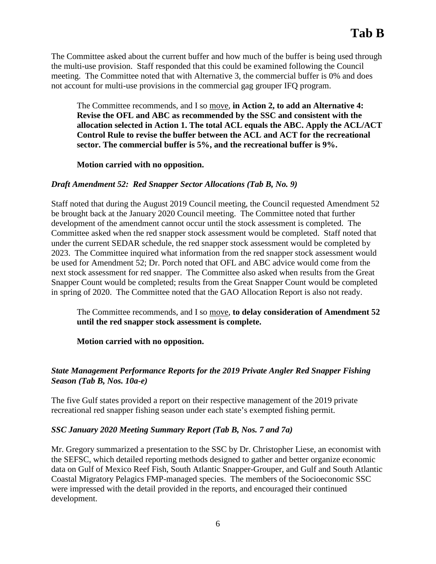The Committee asked about the current buffer and how much of the buffer is being used through the multi-use provision. Staff responded that this could be examined following the Council meeting. The Committee noted that with Alternative 3, the commercial buffer is 0% and does not account for multi-use provisions in the commercial gag grouper IFQ program.

The Committee recommends, and I so move, **in Action 2, to add an Alternative 4: Revise the OFL and ABC as recommended by the SSC and consistent with the allocation selected in Action 1. The total ACL equals the ABC. Apply the ACL/ACT Control Rule to revise the buffer between the ACL and ACT for the recreational sector. The commercial buffer is 5%, and the recreational buffer is 9%.**

**Motion carried with no opposition.**

#### *Draft Amendment 52: Red Snapper Sector Allocations (Tab B, No. 9)*

Staff noted that during the August 2019 Council meeting, the Council requested Amendment 52 be brought back at the January 2020 Council meeting. The Committee noted that further development of the amendment cannot occur until the stock assessment is completed. The Committee asked when the red snapper stock assessment would be completed. Staff noted that under the current SEDAR schedule, the red snapper stock assessment would be completed by 2023. The Committee inquired what information from the red snapper stock assessment would be used for Amendment 52; Dr. Porch noted that OFL and ABC advice would come from the next stock assessment for red snapper. The Committee also asked when results from the Great Snapper Count would be completed; results from the Great Snapper Count would be completed in spring of 2020. The Committee noted that the GAO Allocation Report is also not ready.

The Committee recommends, and I so move, **to delay consideration of Amendment 52 until the red snapper stock assessment is complete.**

**Motion carried with no opposition.**

### *State Management Performance Reports for the 2019 Private Angler Red Snapper Fishing Season (Tab B, Nos. 10a-e)*

The five Gulf states provided a report on their respective management of the 2019 private recreational red snapper fishing season under each state's exempted fishing permit.

#### *SSC January 2020 Meeting Summary Report (Tab B, Nos. 7 and 7a)*

Mr. Gregory summarized a presentation to the SSC by Dr. Christopher Liese, an economist with the SEFSC, which detailed reporting methods designed to gather and better organize economic data on Gulf of Mexico Reef Fish, South Atlantic Snapper-Grouper, and Gulf and South Atlantic Coastal Migratory Pelagics FMP-managed species. The members of the Socioeconomic SSC were impressed with the detail provided in the reports, and encouraged their continued development.